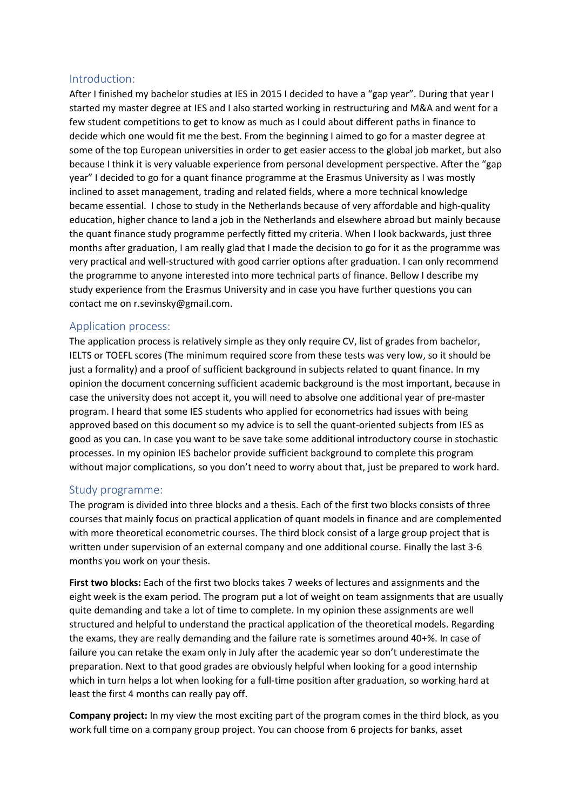## Introduction:

After I finished my bachelor studies at IES in 2015 I decided to have a "gap year". During that year I started my master degree at IES and I also started working in restructuring and M&A and went for a few student competitions to get to know as much as I could about different paths in finance to decide which one would fit me the best. From the beginning I aimed to go for a master degree at some of the top European universities in order to get easier access to the global job market, but also because I think it is very valuable experience from personal development perspective. After the "gap year" I decided to go for a quant finance programme at the Erasmus University as I was mostly inclined to asset management, trading and related fields, where a more technical knowledge became essential. I chose to study in the Netherlands because of very affordable and high-quality education, higher chance to land a job in the Netherlands and elsewhere abroad but mainly because the quant finance study programme perfectly fitted my criteria. When I look backwards, just three months after graduation, I am really glad that I made the decision to go for it as the programme was very practical and well-structured with good carrier options after graduation. I can only recommend the programme to anyone interested into more technical parts of finance. Bellow I describe my study experience from the Erasmus University and in case you have further questions you can contact me on r.sevinsky@gmail.com.

# Application process:

The application process is relatively simple as they only require CV, list of grades from bachelor, IELTS or TOEFL scores (The minimum required score from these tests was very low, so it should be just a formality) and a proof of sufficient background in subjects related to quant finance. In my opinion the document concerning sufficient academic background is the most important, because in case the university does not accept it, you will need to absolve one additional year of pre-master program. I heard that some IES students who applied for econometrics had issues with being approved based on this document so my advice is to sell the quant-oriented subjects from IES as good as you can. In case you want to be save take some additional introductory course in stochastic processes. In my opinion IES bachelor provide sufficient background to complete this program without major complications, so you don't need to worry about that, just be prepared to work hard.

### Study programme:

The program is divided into three blocks and a thesis. Each of the first two blocks consists of three courses that mainly focus on practical application of quant models in finance and are complemented with more theoretical econometric courses. The third block consist of a large group project that is written under supervision of an external company and one additional course. Finally the last 3-6 months you work on your thesis.

**First two blocks:** Each of the first two blocks takes 7 weeks of lectures and assignments and the eight week is the exam period. The program put a lot of weight on team assignments that are usually quite demanding and take a lot of time to complete. In my opinion these assignments are well structured and helpful to understand the practical application of the theoretical models. Regarding the exams, they are really demanding and the failure rate is sometimes around 40+%. In case of failure you can retake the exam only in July after the academic year so don't underestimate the preparation. Next to that good grades are obviously helpful when looking for a good internship which in turn helps a lot when looking for a full-time position after graduation, so working hard at least the first 4 months can really pay off.

**Company project:** In my view the most exciting part of the program comes in the third block, as you work full time on a company group project. You can choose from 6 projects for banks, asset